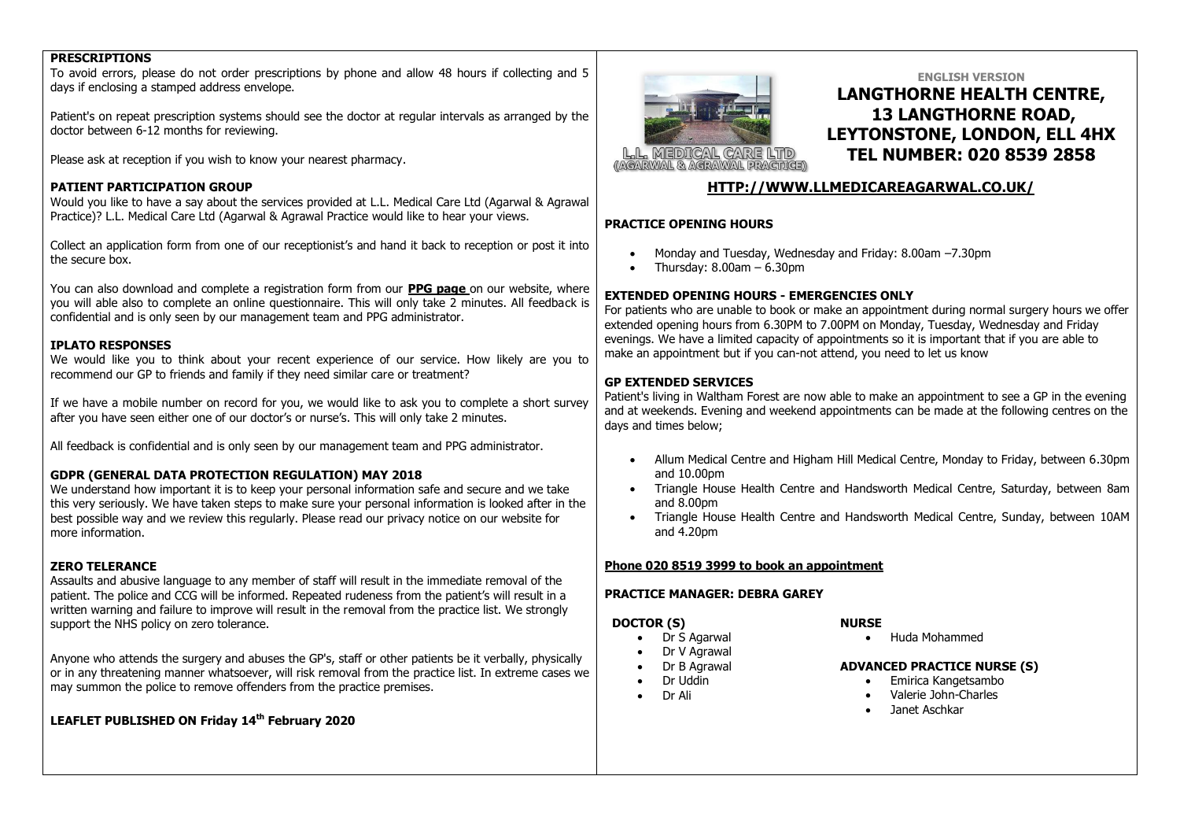## **PRESCRIPTIONS**

To avoid errors, please do not order prescriptions by phone and allow 48 hours if collecting and 5 days if enclosing a stamped address envelope.

Patient's on repeat prescription systems should see the doctor at regular intervals as arranged by the doctor between 6-12 months for reviewing.

Please ask at reception if you wish to know your nearest pharmacy.

### **PATIENT PARTICIPATION GROUP**

Would you like to have a say about the services provided at L.L. Medical Care Ltd (Agarwal & Agrawal Practice)? L.L. Medical Care Ltd (Agarwal & Agrawal Practice would like to hear your views.

Collect an application form from one of our receptionist's and hand it back to reception or post it into the secure box.

You can also download and complete a registration form from our **PPG page** on our website, where you will able also to complete an online questionnaire. This will only take 2 minutes. All feedback is confidential and is only seen by our management team and PPG administrator.

### **IPLATO RESPONSES**

We would like you to think about your recent experience of our service. How likely are you to recommend our GP to friends and family if they need similar care or treatment?

If we have a mobile number on record for you, we would like to ask you to complete a short survey after you have seen either one of our doctor's or nurse's. This will only take 2 minutes.

All feedback is confidential and is only seen by our management team and PPG administrator.

### **GDPR (GENERAL DATA PROTECTION REGULATION) MAY 2018**

We understand how important it is to keep your personal information safe and secure and we take this very seriously. We have taken steps to make sure your personal information is looked after in the best possible way and we review this regularly. Please read our privacy notice on our website for more information.

#### **ZERO TELERANCE**

Assaults and abusive language to any member of staff will result in the immediate removal of the patient. The police and CCG will be informed. Repeated rudeness from the patient's will result in a written warning and failure to improve will result in the removal from the practice list. We strongly support the NHS policy on zero tolerance.

Anyone who attends the surgery and abuses the GP's, staff or other patients be it verbally, physically or in any threatening manner whatsoever, will risk removal from the practice list. In extreme cases we may summon the police to remove offenders from the practice premises.

**LEAFLET PUBLISHED ON Friday 14th February 2020**



# **ENGLISH VERSION LANGTHORNE HEALTH CENTRE, 13 LANGTHORNE ROAD, LEYTONSTONE, LONDON, ELL 4HX TEL NUMBER: 020 8539 2858**

# **[HTTP://WWW.LLMEDICAREAGARWAL.CO.UK/](http://www.llmedicareagarwal.co.uk/)**

### **PRACTICE OPENING HOURS**

- Monday and Tuesday, Wednesday and Friday: 8.00am –7.30pm
- Thursday: 8.00am 6.30pm

### **EXTENDED OPENING HOURS - EMERGENCIES ONLY**

For patients who are unable to book or make an appointment during normal surgery hours we offer extended opening hours from 6.30PM to 7.00PM on Monday, Tuesday, Wednesday and Friday evenings. We have a limited capacity of appointments so it is important that if you are able to make an appointment but if you can-not attend, you need to let us know

## **GP EXTENDED SERVICES**

Patient's living in Waltham Forest are now able to make an appointment to see a GP in the evening and at weekends. Evening and weekend appointments can be made at the following centres on the days and times below;

- Allum Medical Centre and Higham Hill Medical Centre, Monday to Friday, between 6.30pm and 10.00pm
- Triangle House Health Centre and Handsworth Medical Centre, Saturday, between 8am and 8.00pm
- Triangle House Health Centre and Handsworth Medical Centre, Sunday, between 10AM and 4.20pm

#### **Phone 020 8519 3999 to book an appointment**

### **PRACTICE MANAGER: DEBRA GAREY**

### **DOCTOR (S)**

- Dr S Agarwal
- Dr V Agrawal
- Dr B Agrawal
- Dr Uddin
- Dr Ali

# **NURSE**

Huda Mohammed

#### **ADVANCED PRACTICE NURSE (S)**

- Emirica Kangetsambo
- Valerie John-Charles
- Janet Aschkar